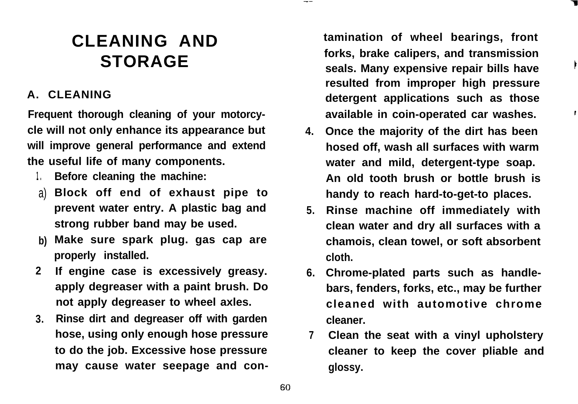## **CLEANING AND STORAGE**

## **A. CLEANING**

**Frequent thorough cleaning of your motorcycle will not only enhance its appearance but will improve general performance and extend the useful life of many components.**

- **1 . Before cleaning the machine:**
- a) **Block off end of exhaust pipe to prevent water entry. A plastic bag and strong rubber band may be used.**
- **b) Make sure spark plug. gas cap are properly installed.**
- **2 If engine case is excessively greasy. apply degreaser with a paint brush. Do not apply degreaser to wheel axles.**
- **3. Rinse dirt and degreaser off with garden hose, using only enough hose pressure to do the job. Excessive hose pressure may cause water seepage and con-**

**tamination of wheel bearings, front forks, brake calipers, and transmission seals. Many expensive repair bills have** <sup>1</sup> **resulted from improper high pressure detergent applications such as those available in coin-operated car washes.** <sup>1</sup>

1

- **4. Once the majority of the dirt has been hosed off, wash all surfaces with warm water and mild, detergent-type soap. An old tooth brush or bottle brush is handy to reach hard-to-get-to places.**
- **5. Rinse machine off immediately with clean water and dry all surfaces with a chamois, clean towel, or soft absorbent cloth.**
- **6. Chrome-plated parts such as handlebars, fenders, forks, etc., may be further cleaned with automotive chrome cleaner.**
- **7 Clean the seat with a vinyl upholstery cleaner to keep the cover pliable and glossy.**

-~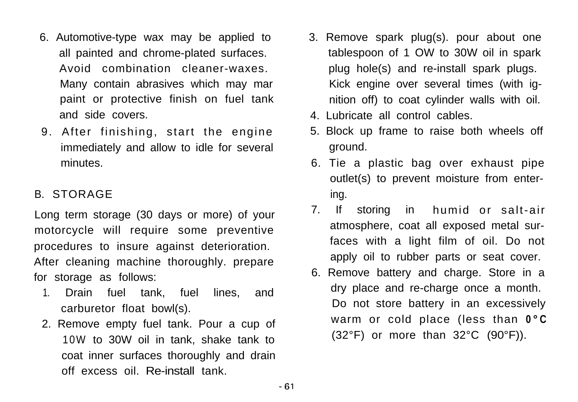- 6. Automotive-type wax may be applied to all painted and chrome-plated surfaces. Avoid combination cleaner-waxes. Many contain abrasives which may mar paint or protective finish on fuel tank and side covers.
- 9. After finishing, start the engine immediately and allow to idle for several minutes.

## B. STORAGE

Long term storage (30 days or more) of your motorcycle will require some preventive procedures to insure against deterioration. After cleaning machine thoroughly. prepare for storage as follows:

- 1. Drain fuel tank, fuel lines, and carburetor float bowl(s).
- 2. Remove empty fuel tank. Pour a cup of 10W to 30W oil in tank, shake tank to coat inner surfaces thoroughly and drain off excess oil. Re-install tank.
- 3. Remove spark plug(s). pour about one tablespoon of 1 OW to 30W oil in spark plug hole(s) and re-install spark plugs. Kick engine over several times (with ignition off) to coat cylinder walls with oil.
- 4. Lubricate all control cables.
- 5. Block up frame to raise both wheels off ground.
- 6. Tie a plastic bag over exhaust pipe outlet(s) to prevent moisture from entering.
- 7. If storing in humid or salt-air atmosphere, coat all exposed metal surfaces with a light film of oil. Do not apply oil to rubber parts or seat cover.
- 6. Remove battery and charge. Store in a dry place and re-charge once a month. Do not store battery in an excessively warm or cold place (less than **0°C**  $(32^{\circ}F)$  or more than  $32^{\circ}C$   $(90^{\circ}F)$ ).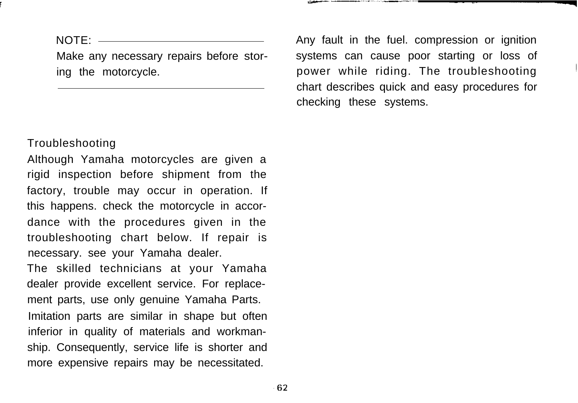NOTE:

Make any necessary repairs before storing the motorcycle.

## Troubleshooting

Although Yamaha motorcycles are given a rigid inspection before shipment from the factory, trouble may occur in operation. If this happens. check the motorcycle in accordance with the procedures given in the troubleshooting chart below. If repair is necessary. see your Yamaha dealer.

The skilled technicians at your Yamaha dealer provide excellent service. For replacement parts, use only genuine Yamaha Parts. Imitation parts are similar in shape but often inferior in quality of materials and workmanship. Consequently, service life is shorter and more expensive repairs may be necessitated.

Any fault in the fuel. compression or ignition systems can cause poor starting or loss of power while riding. The troubleshooting chart describes quick and easy procedures for checking these systems.